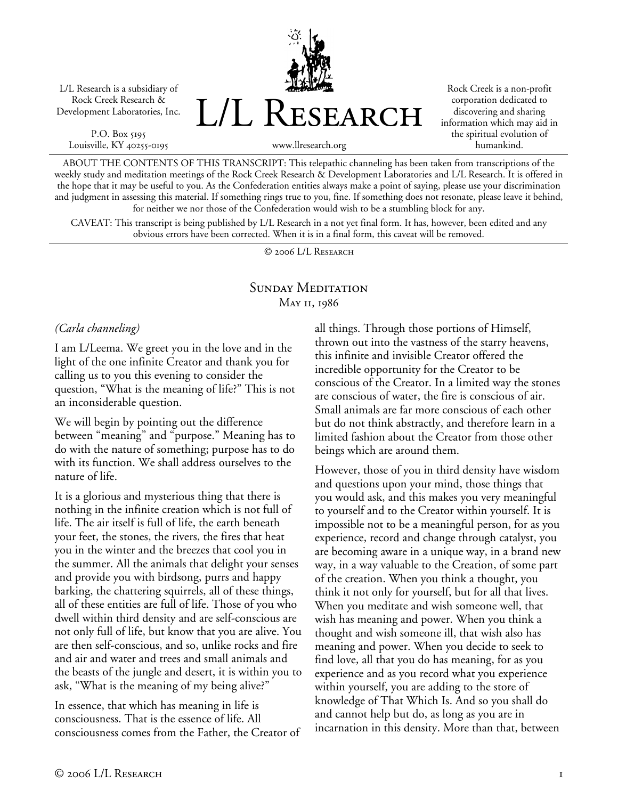L/L Research is a subsidiary of Rock Creek Research & Development Laboratories, Inc.

P.O. Box 5195 Louisville, KY 40255-0195 L/L Research

Rock Creek is a non-profit corporation dedicated to discovering and sharing information which may aid in the spiritual evolution of humankind.

www.llresearch.org

ABOUT THE CONTENTS OF THIS TRANSCRIPT: This telepathic channeling has been taken from transcriptions of the weekly study and meditation meetings of the Rock Creek Research & Development Laboratories and L/L Research. It is offered in the hope that it may be useful to you. As the Confederation entities always make a point of saying, please use your discrimination and judgment in assessing this material. If something rings true to you, fine. If something does not resonate, please leave it behind, for neither we nor those of the Confederation would wish to be a stumbling block for any.

CAVEAT: This transcript is being published by L/L Research in a not yet final form. It has, however, been edited and any obvious errors have been corrected. When it is in a final form, this caveat will be removed.

© 2006 L/L Research

## SUNDAY MEDITATION May 11, 1986

#### *(Carla channeling)*

I am L/Leema. We greet you in the love and in the light of the one infinite Creator and thank you for calling us to you this evening to consider the question, "What is the meaning of life?" This is not an inconsiderable question.

We will begin by pointing out the difference between "meaning" and "purpose." Meaning has to do with the nature of something; purpose has to do with its function. We shall address ourselves to the nature of life.

It is a glorious and mysterious thing that there is nothing in the infinite creation which is not full of life. The air itself is full of life, the earth beneath your feet, the stones, the rivers, the fires that heat you in the winter and the breezes that cool you in the summer. All the animals that delight your senses and provide you with birdsong, purrs and happy barking, the chattering squirrels, all of these things, all of these entities are full of life. Those of you who dwell within third density and are self-conscious are not only full of life, but know that you are alive. You are then self-conscious, and so, unlike rocks and fire and air and water and trees and small animals and the beasts of the jungle and desert, it is within you to ask, "What is the meaning of my being alive?"

In essence, that which has meaning in life is consciousness. That is the essence of life. All consciousness comes from the Father, the Creator of all things. Through those portions of Himself, thrown out into the vastness of the starry heavens, this infinite and invisible Creator offered the incredible opportunity for the Creator to be conscious of the Creator. In a limited way the stones are conscious of water, the fire is conscious of air. Small animals are far more conscious of each other but do not think abstractly, and therefore learn in a limited fashion about the Creator from those other beings which are around them.

However, those of you in third density have wisdom and questions upon your mind, those things that you would ask, and this makes you very meaningful to yourself and to the Creator within yourself. It is impossible not to be a meaningful person, for as you experience, record and change through catalyst, you are becoming aware in a unique way, in a brand new way, in a way valuable to the Creation, of some part of the creation. When you think a thought, you think it not only for yourself, but for all that lives. When you meditate and wish someone well, that wish has meaning and power. When you think a thought and wish someone ill, that wish also has meaning and power. When you decide to seek to find love, all that you do has meaning, for as you experience and as you record what you experience within yourself, you are adding to the store of knowledge of That Which Is. And so you shall do and cannot help but do, as long as you are in incarnation in this density. More than that, between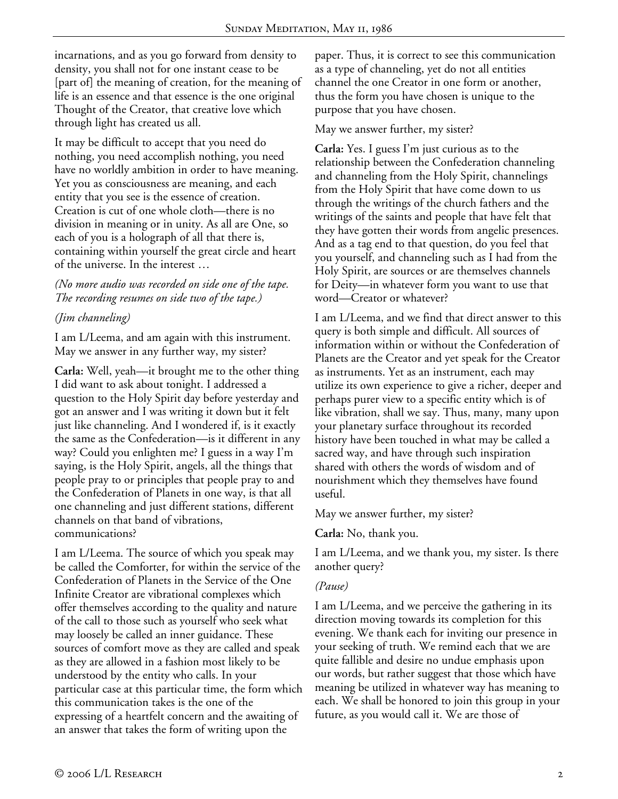incarnations, and as you go forward from density to density, you shall not for one instant cease to be [part of] the meaning of creation, for the meaning of life is an essence and that essence is the one original Thought of the Creator, that creative love which through light has created us all.

It may be difficult to accept that you need do nothing, you need accomplish nothing, you need have no worldly ambition in order to have meaning. Yet you as consciousness are meaning, and each entity that you see is the essence of creation. Creation is cut of one whole cloth—there is no division in meaning or in unity. As all are One, so each of you is a holograph of all that there is, containing within yourself the great circle and heart of the universe. In the interest …

*(No more audio was recorded on side one of the tape. The recording resumes on side two of the tape.)* 

# *(Jim channeling)*

I am L/Leema, and am again with this instrument. May we answer in any further way, my sister?

**Carla:** Well, yeah—it brought me to the other thing I did want to ask about tonight. I addressed a question to the Holy Spirit day before yesterday and got an answer and I was writing it down but it felt just like channeling. And I wondered if, is it exactly the same as the Confederation—is it different in any way? Could you enlighten me? I guess in a way I'm saying, is the Holy Spirit, angels, all the things that people pray to or principles that people pray to and the Confederation of Planets in one way, is that all one channeling and just different stations, different channels on that band of vibrations, communications?

I am L/Leema. The source of which you speak may be called the Comforter, for within the service of the Confederation of Planets in the Service of the One Infinite Creator are vibrational complexes which offer themselves according to the quality and nature of the call to those such as yourself who seek what may loosely be called an inner guidance. These sources of comfort move as they are called and speak as they are allowed in a fashion most likely to be understood by the entity who calls. In your particular case at this particular time, the form which this communication takes is the one of the expressing of a heartfelt concern and the awaiting of an answer that takes the form of writing upon the

paper. Thus, it is correct to see this communication as a type of channeling, yet do not all entities channel the one Creator in one form or another, thus the form you have chosen is unique to the purpose that you have chosen.

### May we answer further, my sister?

**Carla:** Yes. I guess I'm just curious as to the relationship between the Confederation channeling and channeling from the Holy Spirit, channelings from the Holy Spirit that have come down to us through the writings of the church fathers and the writings of the saints and people that have felt that they have gotten their words from angelic presences. And as a tag end to that question, do you feel that you yourself, and channeling such as I had from the Holy Spirit, are sources or are themselves channels for Deity—in whatever form you want to use that word—Creator or whatever?

I am L/Leema, and we find that direct answer to this query is both simple and difficult. All sources of information within or without the Confederation of Planets are the Creator and yet speak for the Creator as instruments. Yet as an instrument, each may utilize its own experience to give a richer, deeper and perhaps purer view to a specific entity which is of like vibration, shall we say. Thus, many, many upon your planetary surface throughout its recorded history have been touched in what may be called a sacred way, and have through such inspiration shared with others the words of wisdom and of nourishment which they themselves have found useful.

May we answer further, my sister?

**Carla:** No, thank you.

I am L/Leema, and we thank you, my sister. Is there another query?

### *(Pause)*

I am L/Leema, and we perceive the gathering in its direction moving towards its completion for this evening. We thank each for inviting our presence in your seeking of truth. We remind each that we are quite fallible and desire no undue emphasis upon our words, but rather suggest that those which have meaning be utilized in whatever way has meaning to each. We shall be honored to join this group in your future, as you would call it. We are those of